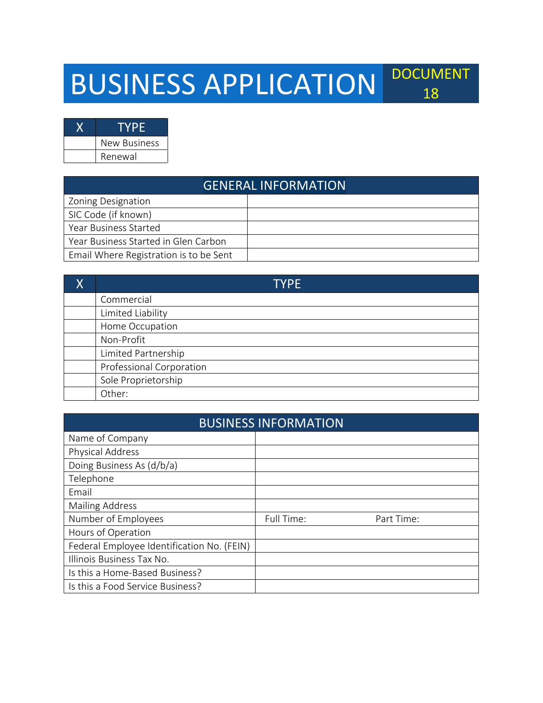## BUSINESS APPLICATION DOCUMENT

| I YPE.              |  |
|---------------------|--|
| <b>New Business</b> |  |
| Renewal             |  |

| <b>GENERAL INFORMATION</b>             |  |  |
|----------------------------------------|--|--|
| Zoning Designation                     |  |  |
| SIC Code (if known)                    |  |  |
| Year Business Started                  |  |  |
| Year Business Started in Glen Carbon   |  |  |
| Email Where Registration is to be Sent |  |  |

| <b>TYPE</b>              |
|--------------------------|
| Commercial               |
| Limited Liability        |
| Home Occupation          |
| Non-Profit               |
| Limited Partnership      |
| Professional Corporation |
| Sole Proprietorship      |
| Other:                   |

| <b>BUSINESS INFORMATION</b>                |            |            |  |
|--------------------------------------------|------------|------------|--|
| Name of Company                            |            |            |  |
| Physical Address                           |            |            |  |
| Doing Business As (d/b/a)                  |            |            |  |
| Telephone                                  |            |            |  |
| Email                                      |            |            |  |
| <b>Mailing Address</b>                     |            |            |  |
| Number of Employees                        | Full Time: | Part Time: |  |
| Hours of Operation                         |            |            |  |
| Federal Employee Identification No. (FEIN) |            |            |  |
| Illinois Business Tax No.                  |            |            |  |
| Is this a Home-Based Business?             |            |            |  |
| Is this a Food Service Business?           |            |            |  |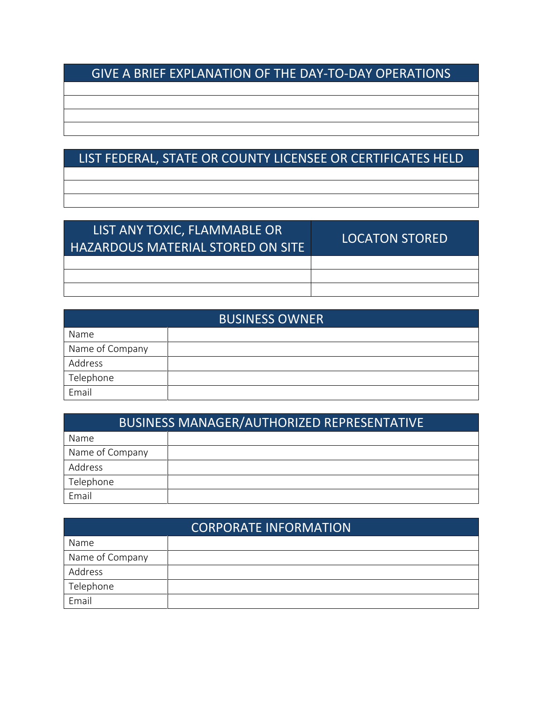## GIVE A BRIEF EXPLANATION OF THE DAY-TO-DAY OPERATIONS

## LIST FEDERAL, STATE OR COUNTY LICENSEE OR CERTIFICATES HELD

| LIST ANY TOXIC, FLAMMABLE OR<br><b>HAZARDOUS MATERIAL STORED ON SITE</b> | <b>LOCATON STORED</b> |
|--------------------------------------------------------------------------|-----------------------|
|                                                                          |                       |
|                                                                          |                       |
|                                                                          |                       |

| <b>BUSINESS OWNER</b> |  |  |  |
|-----------------------|--|--|--|
| Name                  |  |  |  |
| Name of Company       |  |  |  |
| Address               |  |  |  |
| Telephone             |  |  |  |
| Email                 |  |  |  |

| BUSINESS MANAGER/AUTHORIZED REPRESENTATIVE |  |  |
|--------------------------------------------|--|--|
| Name                                       |  |  |
| Name of Company                            |  |  |
| Address                                    |  |  |
| Telephone                                  |  |  |
| Email                                      |  |  |

| <b>CORPORATE INFORMATION</b> |  |  |
|------------------------------|--|--|
| Name                         |  |  |
| Name of Company              |  |  |
| Address                      |  |  |
| Telephone                    |  |  |
| Email                        |  |  |